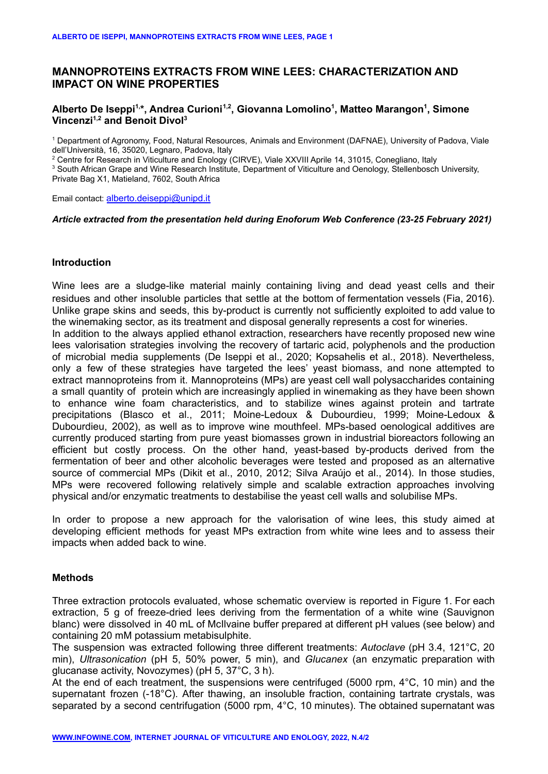# **MANNOPROTEINS EXTRACTS FROM WINE LEES: CHARACTERIZATION AND IMPACT ON WINE PROPERTIES**

## **Alberto De Iseppi 1,\*, Andrea Curioni 1,2 , Giovanna Lomolino 1 , Matteo Marangon 1 , Simone Vincenzi 1,2 and Benoit Divol 3**

<sup>1</sup> Department of Agronomy, Food, Natural Resources, Animals and Environment (DAFNAE), University of Padova, Viale dell'Università, 16, 35020, Legnaro, Padova, Italy

<sup>2</sup> Centre for Research in Viticulture and Enology (CIRVE), Viale XXVIII Aprile 14, 31015, Conegliano, Italy

<sup>3</sup> South African Grape and Wine Research Institute, Department of Viticulture and Oenology, Stellenbosch University, Private Bag X1, Matieland, 7602, South Africa

Email contact: [alberto.deiseppi@unipd.it](mailto:alberto.deiseppi@unipd.it)

#### *Article extracted from the presentation held during Enoforum Web Conference (23-25 February 2021)*

#### **Introduction**

Wine lees are a sludge-like material mainly containing living and dead yeast cells and their residues and other insoluble particles that settle at the bottom of fermentation vessels (Fia, 2016). Unlike grape skins and seeds, this by-product is currently not sufficiently exploited to add value to the winemaking sector, as its treatment and disposal generally represents a cost for wineries. In addition to the always applied ethanol extraction, researchers have recently proposed new wine lees valorisation strategies involving the recovery of tartaric acid, polyphenols and the production of microbial media supplements (De Iseppi et al., 2020; Kopsahelis et al., 2018). Nevertheless, only a few of these strategies have targeted the lees' yeast biomass, and none attempted to extract mannoproteins from it. Mannoproteins (MPs) are yeast cell wall polysaccharides containing a small quantity of protein which are increasingly applied in winemaking as they have been shown to enhance wine foam characteristics, and to stabilize wines against protein and tartrate precipitations (Blasco et al., 2011; Moine-Ledoux & Dubourdieu, 1999; Moine-Ledoux & Dubourdieu, 2002), as well as to improve wine mouthfeel. MPs-based oenological additives are currently produced starting from pure yeast biomasses grown in industrial bioreactors following an efficient but costly process. On the other hand, yeast-based by-products derived from the fermentation of beer and other alcoholic beverages were tested and proposed as an alternative source of commercial MPs (Dikit et al., 2010, 2012; Silva Araújo et al., 2014). In those studies, MPs were recovered following relatively simple and scalable extraction approaches involving physical and/or enzymatic treatments to destabilise the yeast cell walls and solubilise MPs.

In order to propose a new approach for the valorisation of wine lees, this study aimed at developing efficient methods for yeast MPs extraction from white wine lees and to assess their impacts when added back to wine.

#### **Methods**

Three extraction protocols evaluated, whose schematic overview is reported in Figure 1. For each extraction, 5 g of freeze-dried lees deriving from the fermentation of a white wine (Sauvignon blanc) were dissolved in 40 mL of McIlvaine buffer prepared at different pH values (see below) and containing 20 mM potassium metabisulphite.

The suspension was extracted following three different treatments: *Autoclave* (pH 3.4, 121°C, 20 min), *Ultrasonication* (pH 5, 50% power, 5 min), and *Glucanex* (an enzymatic preparation with glucanase activity, Novozymes) (pH 5, 37°C, 3 h).

At the end of each treatment, the suspensions were centrifuged (5000 rpm, 4°C, 10 min) and the supernatant frozen (-18°C). After thawing, an insoluble fraction, containing tartrate crystals, was separated by a second centrifugation (5000 rpm, 4°C, 10 minutes). The obtained supernatant was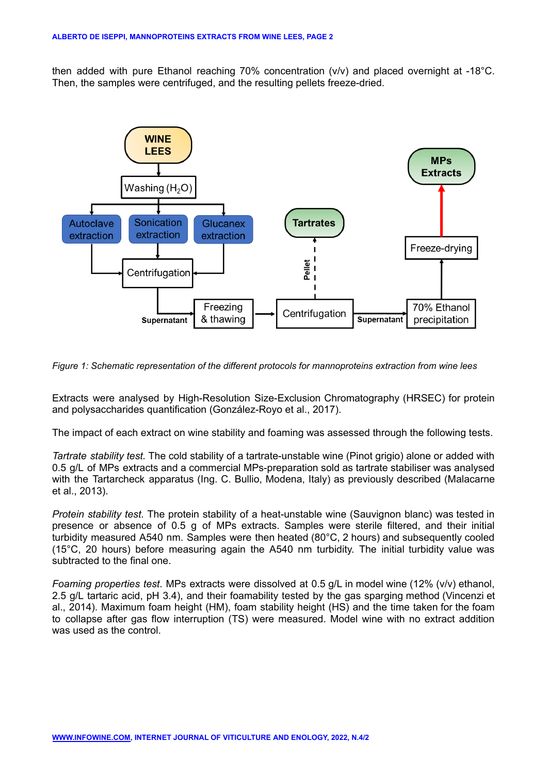then added with pure Ethanol reaching 70% concentration (v/v) and placed overnight at -18°C. Then, the samples were centrifuged, and the resulting pellets freeze-dried.



*Figure 1: Schematic representation of the different protocols for mannoproteins extraction from wine lees*

Extracts were analysed by High-Resolution Size-Exclusion Chromatography (HRSEC) for protein and polysaccharides quantification (González-Royo et al., 2017).

The impact of each extract on wine stability and foaming was assessed through the following tests.

*Tartrate stability test.* The cold stability of a tartrate-unstable wine (Pinot grigio) alone or added with 0.5 g/L of MPs extracts and a commercial MPs-preparation sold as tartrate stabiliser was analysed with the Tartarcheck apparatus (Ing. C. Bullio, Modena, Italy) as previously described (Malacarne et al., 2013).

*Protein stability test*. The protein stability of a heat-unstable wine (Sauvignon blanc) was tested in presence or absence of 0.5 g of MPs extracts. Samples were sterile filtered, and their initial turbidity measured A540 nm. Samples were then heated (80°C, 2 hours) and subsequently cooled (15°C, 20 hours) before measuring again the A540 nm turbidity. The initial turbidity value was subtracted to the final one.

*Foaming properties test*. MPs extracts were dissolved at 0.5 g/L in model wine (12% (v/v) ethanol, 2.5 g/L tartaric acid, pH 3.4), and their foamability tested by the gas sparging method (Vincenzi et al., 2014). Maximum foam height (HM), foam stability height (HS) and the time taken for the foam to collapse after gas flow interruption (TS) were measured. Model wine with no extract addition was used as the control.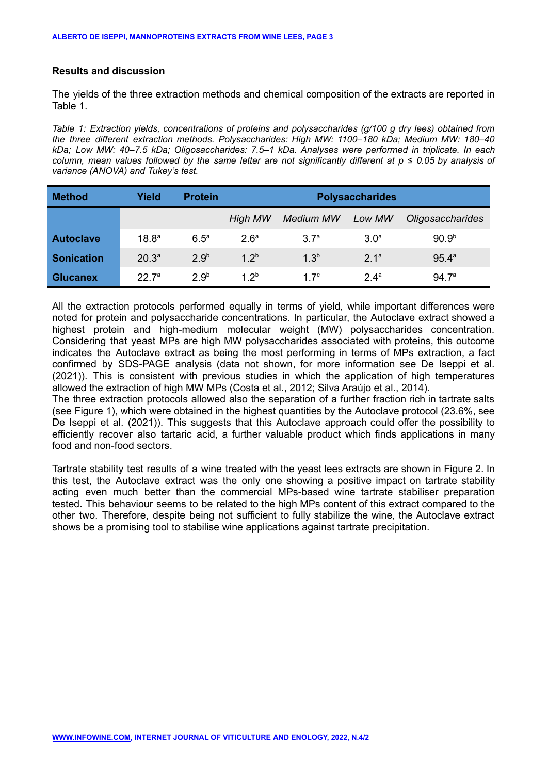## **Results and discussion**

The yields of the three extraction methods and chemical composition of the extracts are reported in Table 1.

*Table 1: Extraction yields, concentrations of proteins and polysaccharides (g/100 g dry lees) obtained from the three different extraction methods. Polysaccharides: High MW: 1100–180 kDa; Medium MW: 180–40 kDa; Low MW: 40–7.5 kDa; Oligosaccharides: 7.5–1 kDa. Analyses were performed in triplicate. In each* column. mean values followed by the same letter are not significantly different at  $p \le 0.05$  by analysis of *variance (ANOVA) and Tukey's test.*

| <b>Method</b>     | Yield             | <b>Protein</b>   | <b>Polysaccharides</b> |                  |                  |                         |
|-------------------|-------------------|------------------|------------------------|------------------|------------------|-------------------------|
|                   |                   |                  | High MW                | <b>Medium MW</b> | Low MW           | <b>Oligosaccharides</b> |
| <b>Autoclave</b>  | 18.8 <sup>a</sup> | $6.5^{\circ}$    | 2.6 <sup>a</sup>       | 3.7 <sup>a</sup> | 3.0 <sup>a</sup> | 90.9 <sup>b</sup>       |
| <b>Sonication</b> | 20.3 <sup>a</sup> | 2.9 <sup>b</sup> | $1.2^{b}$              | 1.3 <sup>b</sup> | 2 <sup>1a</sup>  | 95.4 <sup>a</sup>       |
| <b>Glucanex</b>   | $22\,7^{\circ}$   | 2.9 <sup>b</sup> | 1.2 <sup>b</sup>       | 17 <sup>c</sup>  | 24 <sup>a</sup>  | 94.7 <sup>a</sup>       |

All the extraction protocols performed equally in terms of yield, while important differences were noted for protein and polysaccharide concentrations. In particular, the Autoclave extract showed a highest protein and high-medium molecular weight (MW) polysaccharides concentration. Considering that yeast MPs are high MW polysaccharides associated with proteins, this outcome indicates the Autoclave extract as being the most performing in terms of MPs extraction, a fact confirmed by SDS-PAGE analysis (data not shown, for more information see De Iseppi et al. (2021)). This is consistent with previous studies in which the application of high temperatures allowed the extraction of high MW MPs (Costa et al., 2012; Silva Araújo et al., 2014).

The three extraction protocols allowed also the separation of a further fraction rich in tartrate salts (see Figure 1), which were obtained in the highest quantities by the Autoclave protocol (23.6%, see De Iseppi et al. (2021)). This suggests that this Autoclave approach could offer the possibility to efficiently recover also tartaric acid, a further valuable product which finds applications in many food and non-food sectors.

Tartrate stability test results of a wine treated with the yeast lees extracts are shown in Figure 2. In this test, the Autoclave extract was the only one showing a positive impact on tartrate stability acting even much better than the commercial MPs-based wine tartrate stabiliser preparation tested. This behaviour seems to be related to the high MPs content of this extract compared to the other two. Therefore, despite being not sufficient to fully stabilize the wine, the Autoclave extract shows be a promising tool to stabilise wine applications against tartrate precipitation.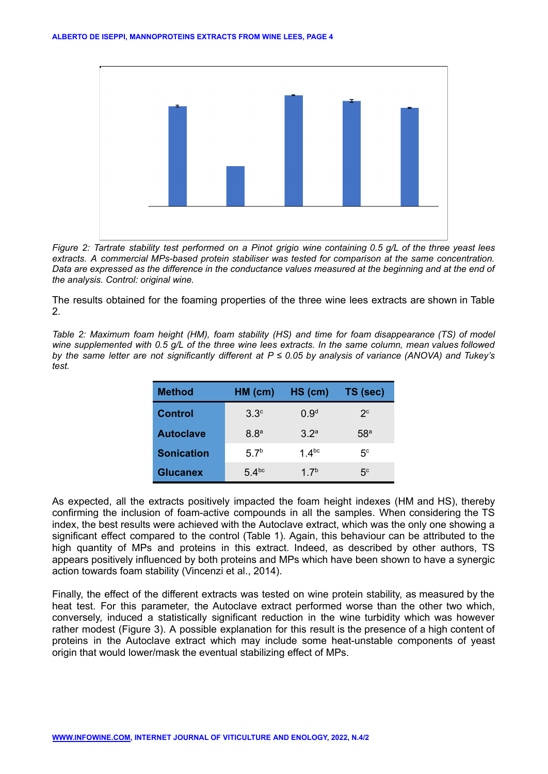

Figure 2: Tartrate stability test performed on a Pinot grigio wine containing 0.5 g/L of the three yeast lees *extracts. A commercial MPs-based protein stabiliser was tested for comparison at the same concentration.* Data are expressed as the difference in the conductance values measured at the beginning and at the end of *the analysis. Control: original wine.*

The results obtained for the foaming properties of the three wine lees extracts are shown in Table 2.

*Table 2: Maximum foam height (HM), foam stability (HS) and time for foam disappearance (TS) of model* wine supplemented with 0.5 g/L of the three wine lees extracts. In the same column, mean values followed by the same letter are not significantly different at  $P \le 0.05$  by analysis of variance (ANOVA) and Tukey's *test.*

| <b>Method</b>     | HM (cm)          | $HS$ (cm)        | TS (sec)        |
|-------------------|------------------|------------------|-----------------|
| <b>Control</b>    | $3.3^\circ$      | 0.9 <sup>d</sup> | $2^{\circ}$     |
| <b>Autoclave</b>  | 8.8 <sup>a</sup> | 32a              | 58 <sup>a</sup> |
| <b>Sonication</b> | 5.7 <sup>b</sup> | 1 $4^{bc}$       | 5 <sup>c</sup>  |
| <b>Glucanex</b>   | $54^{bc}$        | 1.7 <sup>b</sup> | 5 <sup>c</sup>  |

As expected, all the extracts positively impacted the foam height indexes (HM and HS), thereby confirming the inclusion of foam-active compounds in all the samples. When considering the TS index, the best results were achieved with the Autoclave extract, which was the only one showing a significant effect compared to the control (Table 1). Again, this behaviour can be attributed to the high quantity of MPs and proteins in this extract. Indeed, as described by other authors, TS appears positively influenced by both proteins and MPs which have been shown to have a synergic action towards foam stability (Vincenzi et al., 2014).

Finally, the effect of the different extracts was tested on wine protein stability, as measured by the heat test. For this parameter, the Autoclave extract performed worse than the other two which, conversely, induced a statistically significant reduction in the wine turbidity which was however rather modest (Figure 3). A possible explanation for this result is the presence of a high content of proteins in the Autoclave extract which may include some heat-unstable components of yeast origin that would lower/mask the eventual stabilizing effect of MPs.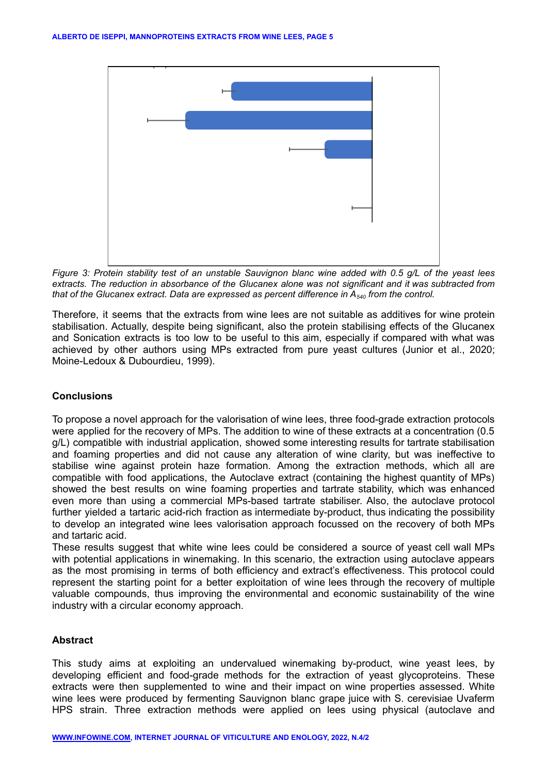

Figure 3: Protein stability test of an unstable Sauvignon blanc wine added with 0.5 g/L of the yeast lees extracts. The reduction in absorbance of the Glucanex alone was not significant and it was subtracted from *that of the Glucanex extract. Data are expressed as percent difference in A<sup>540</sup> from the control.*

Therefore, it seems that the extracts from wine lees are not suitable as additives for wine protein stabilisation. Actually, despite being significant, also the protein stabilising effects of the Glucanex and Sonication extracts is too low to be useful to this aim, especially if compared with what was achieved by other authors using MPs extracted from pure yeast cultures (Junior et al., 2020; Moine-Ledoux & Dubourdieu, 1999).

#### **Conclusions**

To propose a novel approach for the valorisation of wine lees, three food-grade extraction protocols were applied for the recovery of MPs. The addition to wine of these extracts at a concentration (0.5 g/L) compatible with industrial application, showed some interesting results for tartrate stabilisation and foaming properties and did not cause any alteration of wine clarity, but was ineffective to stabilise wine against protein haze formation. Among the extraction methods, which all are compatible with food applications, the Autoclave extract (containing the highest quantity of MPs) showed the best results on wine foaming properties and tartrate stability, which was enhanced even more than using a commercial MPs-based tartrate stabiliser. Also, the autoclave protocol further yielded a tartaric acid-rich fraction as intermediate by-product, thus indicating the possibility to develop an integrated wine lees valorisation approach focussed on the recovery of both MPs and tartaric acid.

These results suggest that white wine lees could be considered a source of yeast cell wall MPs with potential applications in winemaking. In this scenario, the extraction using autoclave appears as the most promising in terms of both efficiency and extract's effectiveness. This protocol could represent the starting point for a better exploitation of wine lees through the recovery of multiple valuable compounds, thus improving the environmental and economic sustainability of the wine industry with a circular economy approach.

#### **Abstract**

This study aims at exploiting an undervalued winemaking by-product, wine yeast lees, by developing efficient and food-grade methods for the extraction of yeast glycoproteins. These extracts were then supplemented to wine and their impact on wine properties assessed. White wine lees were produced by fermenting Sauvignon blanc grape juice with S. cerevisiae Uvaferm HPS strain. Three extraction methods were applied on lees using physical (autoclave and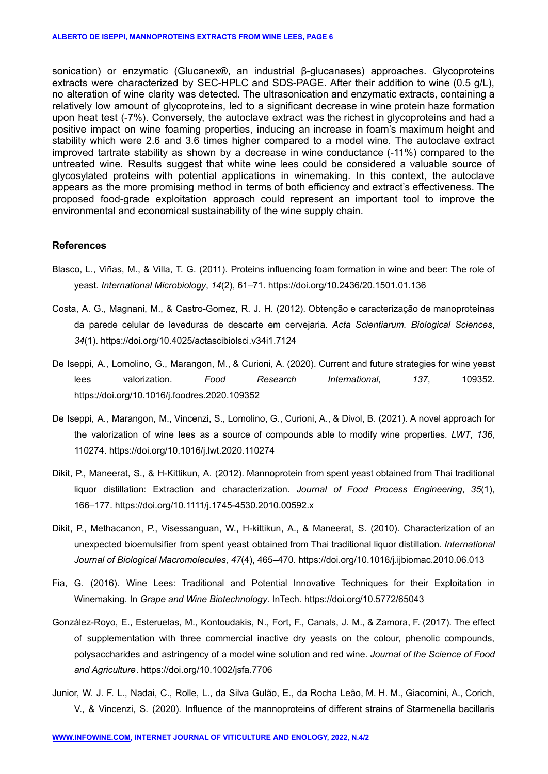sonication) or enzymatic (Glucanex®, an industrial β-glucanases) approaches. Glycoproteins extracts were characterized by SEC-HPLC and SDS-PAGE. After their addition to wine (0.5 g/L), no alteration of wine clarity was detected. The ultrasonication and enzymatic extracts, containing a relatively low amount of glycoproteins, led to a significant decrease in wine protein haze formation upon heat test (-7%). Conversely, the autoclave extract was the richest in glycoproteins and had a positive impact on wine foaming properties, inducing an increase in foam's maximum height and stability which were 2.6 and 3.6 times higher compared to a model wine. The autoclave extract improved tartrate stability as shown by a decrease in wine conductance (-11%) compared to the untreated wine. Results suggest that white wine lees could be considered a valuable source of glycosylated proteins with potential applications in winemaking. In this context, the autoclave appears as the more promising method in terms of both efficiency and extract's effectiveness. The proposed food-grade exploitation approach could represent an important tool to improve the environmental and economical sustainability of the wine supply chain.

#### **References**

- Blasco, L., Viñas, M., & Villa, T. G. (2011). Proteins influencing foam formation in wine and beer: The role of yeast. *International Microbiology*, *14*(2), 61–71. https://doi.org/10.2436/20.1501.01.136
- Costa, A. G., Magnani, M., & Castro-Gomez, R. J. H. (2012). Obtenção e caracterização de manoproteínas da parede celular de leveduras de descarte em cervejaria. *Acta Scientiarum. Biological Sciences*, *34*(1). https://doi.org/10.4025/actascibiolsci.v34i1.7124
- De Iseppi, A., Lomolino, G., Marangon, M., & Curioni, A. (2020). Current and future strategies for wine yeast lees valorization. *Food Research International*, *137*, 109352. https://doi.org/10.1016/j.foodres.2020.109352
- De Iseppi, A., Marangon, M., Vincenzi, S., Lomolino, G., Curioni, A., & Divol, B. (2021). A novel approach for the valorization of wine lees as a source of compounds able to modify wine properties. *LWT*, *136*, 110274. https://doi.org/10.1016/j.lwt.2020.110274
- Dikit, P., Maneerat, S., & H-Kittikun, A. (2012). Mannoprotein from spent yeast obtained from Thai traditional liquor distillation: Extraction and characterization. *Journal of Food Process Engineering*, *35*(1), 166–177. https://doi.org/10.1111/j.1745-4530.2010.00592.x
- Dikit, P., Methacanon, P., Visessanguan, W., H-kittikun, A., & Maneerat, S. (2010). Characterization of an unexpected bioemulsifier from spent yeast obtained from Thai traditional liquor distillation. *International Journal of Biological Macromolecules*, *47*(4), 465–470. https://doi.org/10.1016/j.ijbiomac.2010.06.013
- Fia, G. (2016). Wine Lees: Traditional and Potential Innovative Techniques for their Exploitation in Winemaking. In *Grape and Wine Biotechnology*. InTech. https://doi.org/10.5772/65043
- González-Royo, E., Esteruelas, M., Kontoudakis, N., Fort, F., Canals, J. M., & Zamora, F. (2017). The effect of supplementation with three commercial inactive dry yeasts on the colour, phenolic compounds, polysaccharides and astringency of a model wine solution and red wine. *Journal of the Science of Food and Agriculture*. https://doi.org/10.1002/jsfa.7706
- Junior, W. J. F. L., Nadai, C., Rolle, L., da Silva Gulão, E., da Rocha Leão, M. H. M., Giacomini, A., Corich, V., & Vincenzi, S. (2020). Influence of the mannoproteins of different strains of Starmenella bacillaris